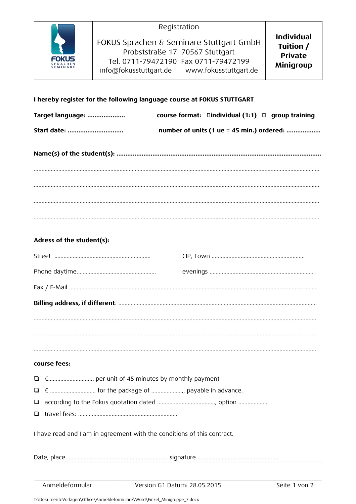| FOKUS<br><b>SPRACHEN</b><br><b>SEMINARE</b> |  |
|---------------------------------------------|--|

# I hereby register for the following language course at FOKUS STUTTGART

| Target language: | course format: $\Box$ individual (1:1) $\Box$ group training |
|------------------|--------------------------------------------------------------|
|                  | number of units (1 ue = 45 min.) ordered:                    |
|                  |                                                              |
|                  |                                                              |

# Adress of the student(s):

## course fees:

- 
- 
- 
- 

I have read and I am in agreement with the conditions of this contract.

Anmeldeformular